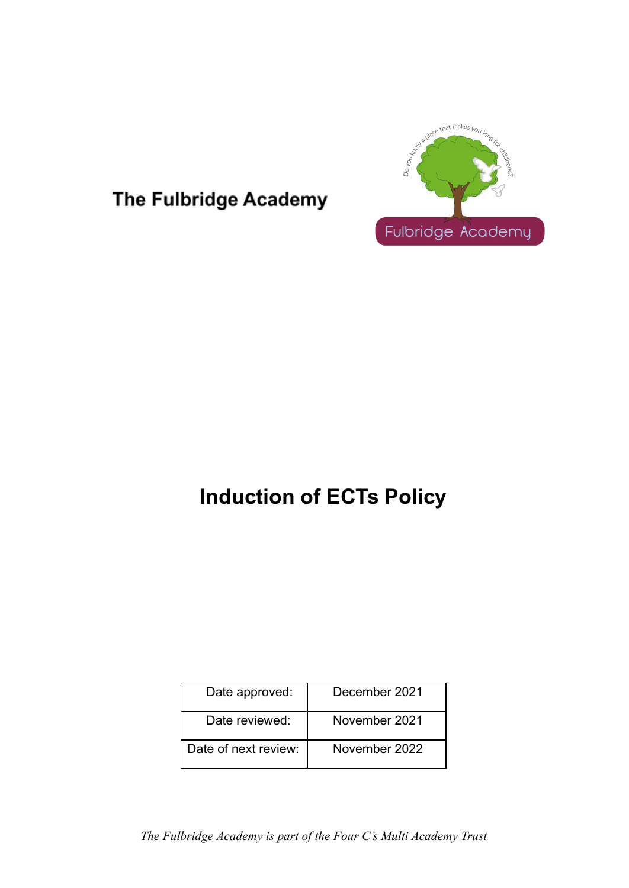

# The Fulbridge Academy

# **Induction of ECTs Policy**

| Date approved:       | December 2021 |
|----------------------|---------------|
| Date reviewed:       | November 2021 |
| Date of next review: | November 2022 |

*The Fulbridge Academy is part of the Four C's Multi Academy Trust*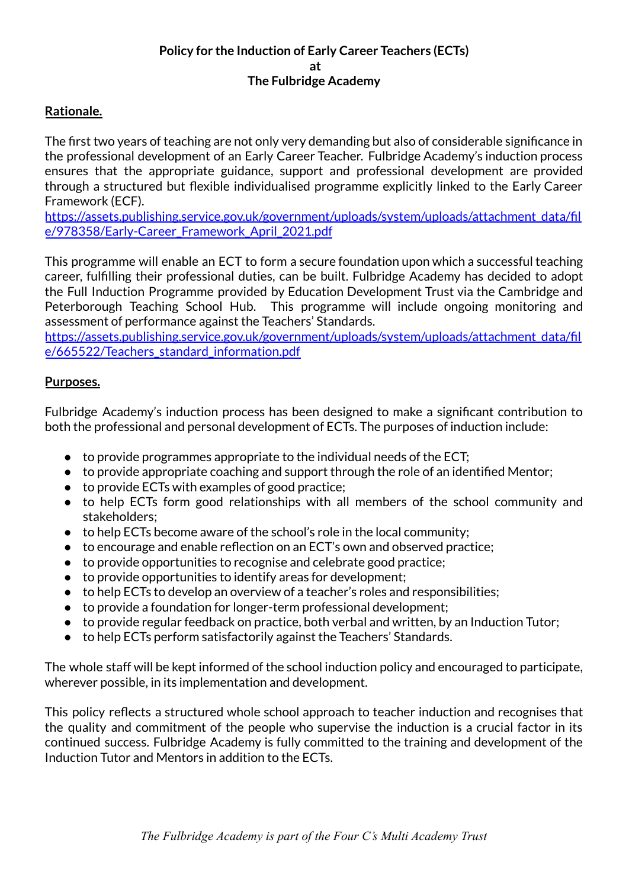#### **Policy for the Induction of Early Career Teachers (ECTs) at The Fulbridge Academy**

# **Rationale.**

The first two years of teaching are not only very demanding but also of considerable significance in the professional development of an Early Career Teacher. Fulbridge Academy's induction process ensures that the appropriate guidance, support and professional development are provided through a structured but flexible individualised programme explicitly linked to the Early Career Framework (ECF).

[https://assets.publishing.service.gov.uk/government/uploads/system/uploads/attachment\\_data/fil](https://assets.publishing.service.gov.uk/government/uploads/system/uploads/attachment_data/file/978358/Early-Career_Framework_April_2021.pdf) [e/978358/Early-Career\\_Framework\\_April\\_2021.pdf](https://assets.publishing.service.gov.uk/government/uploads/system/uploads/attachment_data/file/978358/Early-Career_Framework_April_2021.pdf)

This programme will enable an ECT to form a secure foundation upon which a successful teaching career, fulfilling their professional duties, can be built. Fulbridge Academy has decided to adopt the Full Induction Programme provided by Education Development Trust via the Cambridge and Peterborough Teaching School Hub. This programme will include ongoing monitoring and assessment of performance against the Teachers' Standards.

[https://assets.publishing.service.gov.uk/government/uploads/system/uploads/attachment\\_data/fil](https://assets.publishing.service.gov.uk/government/uploads/system/uploads/attachment_data/file/665522/Teachers_standard_information.pdf) [e/665522/Teachers\\_standard\\_information.pdf](https://assets.publishing.service.gov.uk/government/uploads/system/uploads/attachment_data/file/665522/Teachers_standard_information.pdf)

#### **Purposes.**

Fulbridge Academy's induction process has been designed to make a significant contribution to both the professional and personal development of ECTs. The purposes of induction include:

- $\bullet$  to provide programmes appropriate to the individual needs of the ECT;
- to provide appropriate coaching and support through the role of an identified Mentor;
- to provide ECTs with examples of good practice;
- to help ECTs form good relationships with all members of the school community and stakeholders;
- to help ECTs become aware of the school's role in the local community;
- to encourage and enable reflection on an ECT's own and observed practice;
- to provide opportunities to recognise and celebrate good practice;
- to provide opportunities to identify areas for development:
- to help ECTs to develop an overview of a teacher's roles and responsibilities;
- to provide a foundation for longer-term professional development;
- to provide regular feedback on practice, both verbal and written, by an Induction Tutor;
- to help ECTs perform satisfactorily against the Teachers' Standards.

The whole staff will be kept informed of the school induction policy and encouraged to participate, wherever possible, in its implementation and development.

This policy reflects a structured whole school approach to teacher induction and recognises that the quality and commitment of the people who supervise the induction is a crucial factor in its continued success. Fulbridge Academy is fully committed to the training and development of the Induction Tutor and Mentors in addition to the ECTs.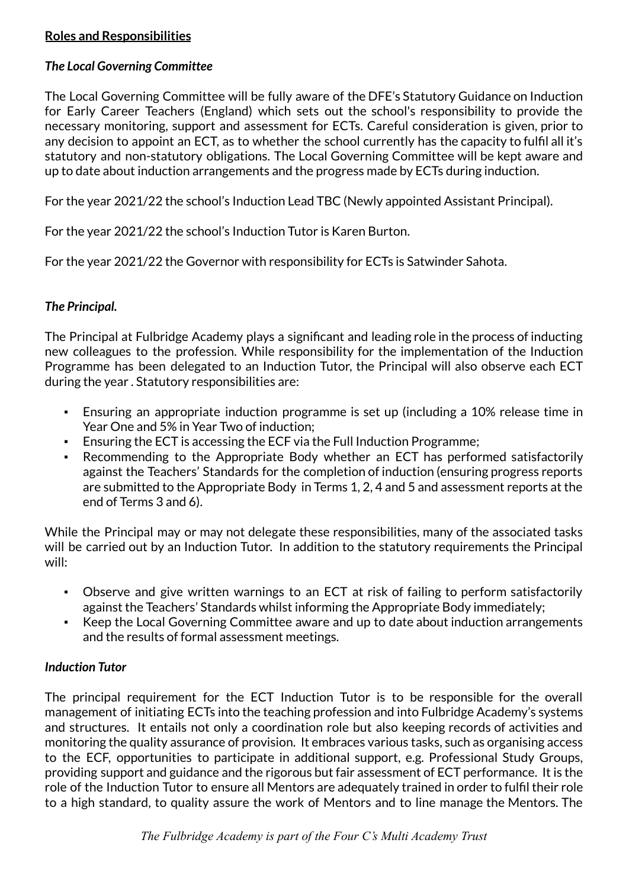# **Roles and Responsibilities**

## *The Local Governing Committee*

The Local Governing Committee will be fully aware of the DFE's Statutory Guidance on Induction for Early Career Teachers (England) which sets out the school's responsibility to provide the necessary monitoring, support and assessment for ECTs. Careful consideration is given, prior to any decision to appoint an ECT, as to whether the school currently has the capacity to fulfil all it's statutory and non-statutory obligations. The Local Governing Committee will be kept aware and up to date about induction arrangements and the progress made by ECTs during induction.

For the year 2021/22 the school's Induction Lead TBC (Newly appointed Assistant Principal).

For the year 2021/22 the school's Induction Tutor is Karen Burton.

For the year 2021/22 the Governor with responsibility for ECTs is Satwinder Sahota.

# *The Principal.*

The Principal at Fulbridge Academy plays a significant and leading role in the process of inducting new colleagues to the profession. While responsibility for the implementation of the Induction Programme has been delegated to an Induction Tutor, the Principal will also observe each ECT during the year . Statutory responsibilities are:

- Ensuring an appropriate induction programme is set up (including a 10% release time in Year One and 5% in Year Two of induction;
- Ensuring the ECT is accessing the ECF via the Full Induction Programme;
- Recommending to the Appropriate Body whether an ECT has performed satisfactorily against the Teachers' Standards for the completion of induction (ensuring progress reports are submitted to the Appropriate Body in Terms 1, 2, 4 and 5 and assessment reports at the end of Terms 3 and 6).

While the Principal may or may not delegate these responsibilities, many of the associated tasks will be carried out by an Induction Tutor. In addition to the statutory requirements the Principal will:

- Observe and give written warnings to an ECT at risk of failing to perform satisfactorily against the Teachers' Standards whilst informing the Appropriate Body immediately;
- Keep the Local Governing Committee aware and up to date about induction arrangements and the results of formal assessment meetings.

#### *Induction Tutor*

The principal requirement for the ECT Induction Tutor is to be responsible for the overall management of initiating ECTs into the teaching profession and into Fulbridge Academy's systems and structures. It entails not only a coordination role but also keeping records of activities and monitoring the quality assurance of provision. It embraces various tasks, such as organising access to the ECF, opportunities to participate in additional support, e.g. Professional Study Groups, providing support and guidance and the rigorous but fair assessment of ECT performance. It is the role of the Induction Tutor to ensure all Mentors are adequately trained in order to fulfil their role to a high standard, to quality assure the work of Mentors and to line manage the Mentors. The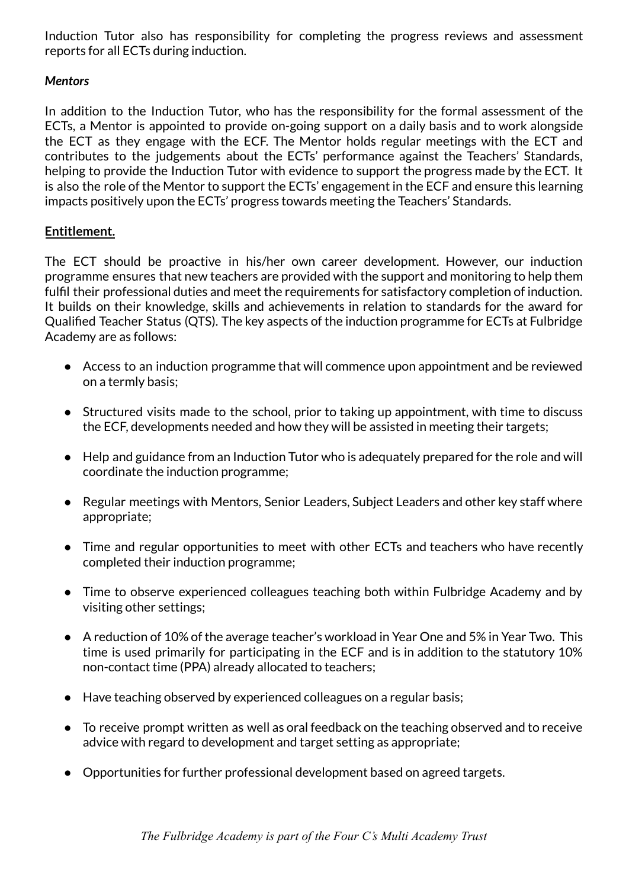Induction Tutor also has responsibility for completing the progress reviews and assessment reports for all ECTs during induction.

#### *Mentors*

In addition to the Induction Tutor, who has the responsibility for the formal assessment of the ECTs, a Mentor is appointed to provide on-going support on a daily basis and to work alongside the ECT as they engage with the ECF. The Mentor holds regular meetings with the ECT and contributes to the judgements about the ECTs' performance against the Teachers' Standards, helping to provide the Induction Tutor with evidence to support the progress made by the ECT. It is also the role of the Mentor to support the ECTs' engagement in the ECF and ensure this learning impacts positively upon the ECTs' progress towards meeting the Teachers' Standards.

#### **Entitlement.**

The ECT should be proactive in his/her own career development. However, our induction programme ensures that new teachers are provided with the support and monitoring to help them fulfil their professional duties and meet the requirements for satisfactory completion of induction. It builds on their knowledge, skills and achievements in relation to standards for the award for Qualified Teacher Status (QTS). The key aspects of the induction programme for ECTs at Fulbridge Academy are as follows:

- Access to an induction programme that will commence upon appointment and be reviewed on a termly basis;
- Structured visits made to the school, prior to taking up appointment, with time to discuss the ECF, developments needed and how they will be assisted in meeting their targets;
- Help and guidance from an Induction Tutor who is adequately prepared for the role and will coordinate the induction programme;
- Regular meetings with Mentors, Senior Leaders, Subiect Leaders and other key staff where appropriate;
- Time and regular opportunities to meet with other ECTs and teachers who have recently completed their induction programme;
- Time to observe experienced colleagues teaching both within Fulbridge Academy and by visiting other settings;
- A reduction of 10% of the average teacher's workload in Year One and 5% in Year Two. This time is used primarily for participating in the ECF and is in addition to the statutory 10% non-contact time (PPA) already allocated to teachers;
- Have teaching observed by experienced colleagues on a regular basis;
- To receive prompt written as well as oral feedback on the teaching observed and to receive advice with regard to development and target setting as appropriate;
- Opportunities for further professional development based on agreed targets.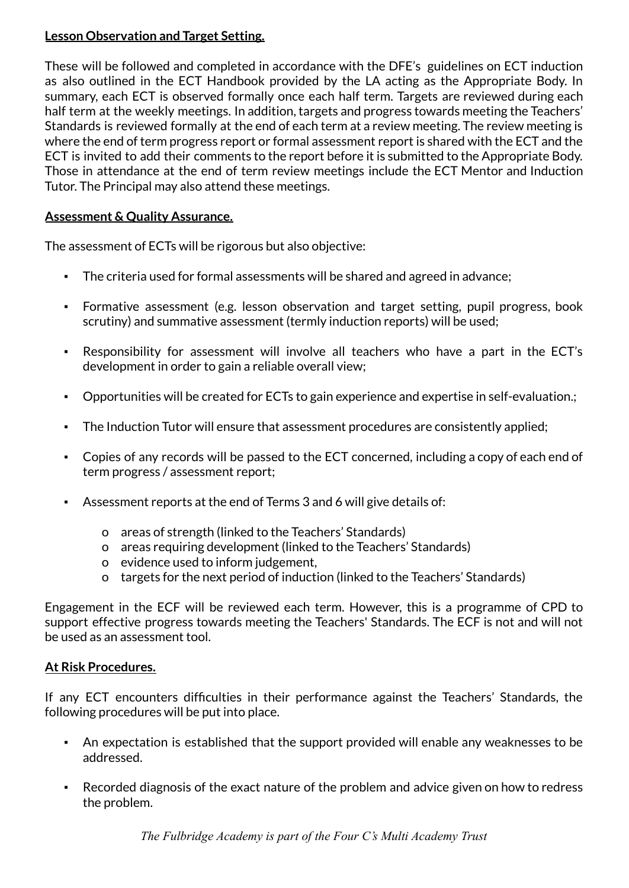# **Lesson Observation and Target Setting.**

These will be followed and completed in accordance with the DFE's guidelines on ECT induction as also outlined in the ECT Handbook provided by the LA acting as the Appropriate Body. In summary, each ECT is observed formally once each half term. Targets are reviewed during each half term at the weekly meetings. In addition, targets and progress towards meeting the Teachers' Standards is reviewed formally at the end of each term at a review meeting. The review meeting is where the end of term progress report or formal assessment report is shared with the ECT and the ECT is invited to add their comments to the report before it is submitted to the Appropriate Body. Those in attendance at the end of term review meetings include the ECT Mentor and Induction Tutor. The Principal may also attend these meetings.

# **Assessment & Quality Assurance.**

The assessment of ECTs will be rigorous but also objective:

- The criteria used for formal assessments will be shared and agreed in advance;
- Formative assessment (e.g. lesson observation and target setting, pupil progress, book scrutiny) and summative assessment (termly induction reports) will be used;
- Responsibility for assessment will involve all teachers who have a part in the ECT's development in order to gain a reliable overall view;
- Opportunities will be created for ECTs to gain experience and expertise in self-evaluation.;
- The Induction Tutor will ensure that assessment procedures are consistently applied;
- Copies of any records will be passed to the ECT concerned, including a copy of each end of term progress / assessment report;
- Assessment reports at the end of Terms 3 and 6 will give details of:
	- o areas of strength (linked to the Teachers' Standards)
	- o areas requiring development (linked to the Teachers' Standards)
	- o evidence used to inform judgement,
	- o targets for the next period of induction (linked to the Teachers' Standards)

Engagement in the ECF will be reviewed each term. However, this is a programme of CPD to support effective progress towards meeting the Teachers' Standards. The ECF is not and will not be used as an assessment tool.

#### **At Risk Procedures.**

If any ECT encounters difficulties in their performance against the Teachers' Standards, the following procedures will be put into place.

- An expectation is established that the support provided will enable any weaknesses to be addressed.
- Recorded diagnosis of the exact nature of the problem and advice given on how to redress the problem.